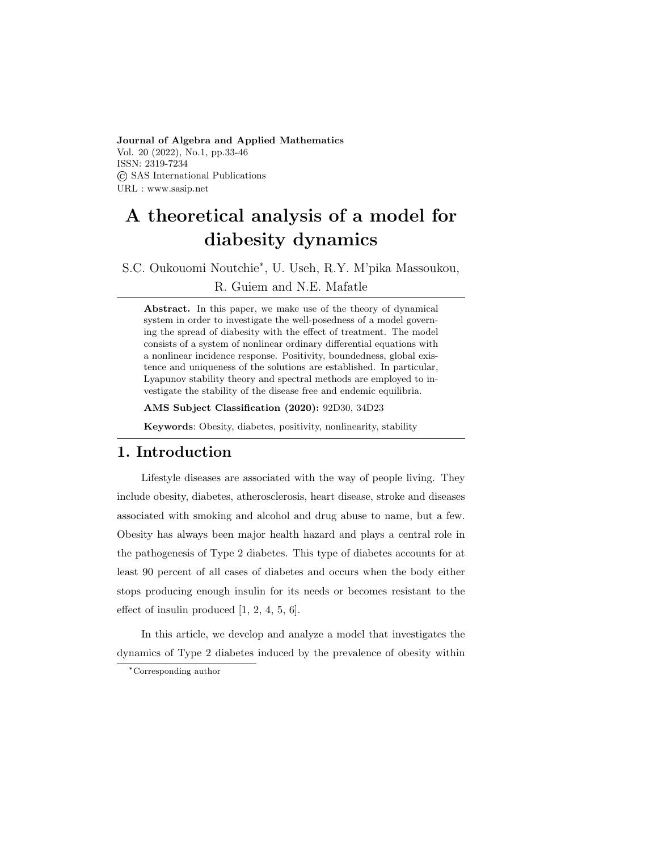Journal of Algebra and Applied Mathematics Vol. 20 (2022), No.1, pp.33-46 ISSN: 2319-7234 © SAS International Publications URL : www.sasip.net

# A theoretical analysis of a model for diabesity dynamics

S.C. Oukouomi Noutchie\* , U. Useh, R.Y. M'pika Massoukou, R. Guiem and N.E. Mafatle

Abstract. In this paper, we make use of the theory of dynamical system in order to investigate the well-posedness of a model governing the spread of diabesity with the effect of treatment. The model consists of a system of nonlinear ordinary differential equations with a nonlinear incidence response. Positivity, boundedness, global existence and uniqueness of the solutions are established. In particular, Lyapunov stability theory and spectral methods are employed to investigate the stability of the disease free and endemic equilibria.

AMS Subject Classification (2020): 92D30, 34D23

Keywords: Obesity, diabetes, positivity, nonlinearity, stability

#### 1. Introduction

Lifestyle diseases are associated with the way of people living. They include obesity, diabetes, atherosclerosis, heart disease, stroke and diseases associated with smoking and alcohol and drug abuse to name, but a few. Obesity has always been major health hazard and plays a central role in the pathogenesis of Type 2 diabetes. This type of diabetes accounts for at least 90 percent of all cases of diabetes and occurs when the body either stops producing enough insulin for its needs or becomes resistant to the effect of insulin produced [1, 2, 4, 5, 6].

In this article, we develop and analyze a model that investigates the dynamics of Type 2 diabetes induced by the prevalence of obesity within

<sup>\*</sup>Corresponding author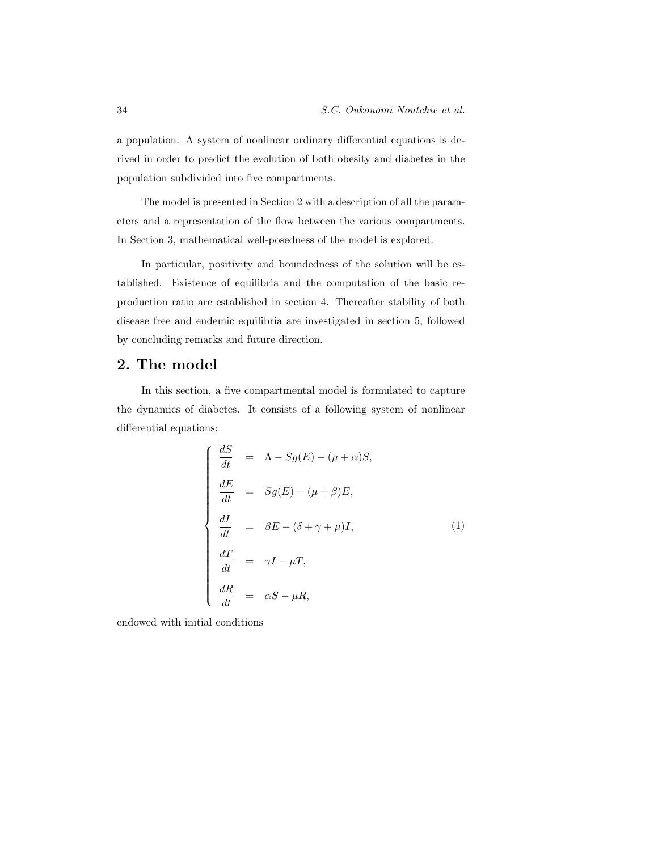a population. A system of nonlinear ordinary differential equations is derived in order to predict the evolution of both obesity and diabetes in the population subdivided into five compartments.

The model is presented in Section 2 with a description of all the parameters and a representation of the flow between the various compartments. In Section 3, mathematical well-posedness of the model is explored.

In particular, positivity and boundedness of the solution will be established. Existence of equilibria and the computation of the basic reproduction ratio are established in section 4. Thereafter stability of both disease free and endemic equilibria are investigated in section 5, followed by concluding remarks and future direction.

## 2. The model

In this section, a five compartmental model is formulated to capture the dynamics of diabetes. It consists of a following system of nonlinear differential equations:

$$
\begin{cases}\n\frac{dS}{dt} = \Lambda - Sg(E) - (\mu + \alpha)S, \\
\frac{dE}{dt} = Sg(E) - (\mu + \beta)E, \\
\frac{dI}{dt} = \beta E - (\delta + \gamma + \mu)I, \\
\frac{dT}{dt} = \gamma I - \mu T, \\
\frac{dR}{dt} = \alpha S - \mu R,\n\end{cases}
$$
\n(1)

endowed with initial conditions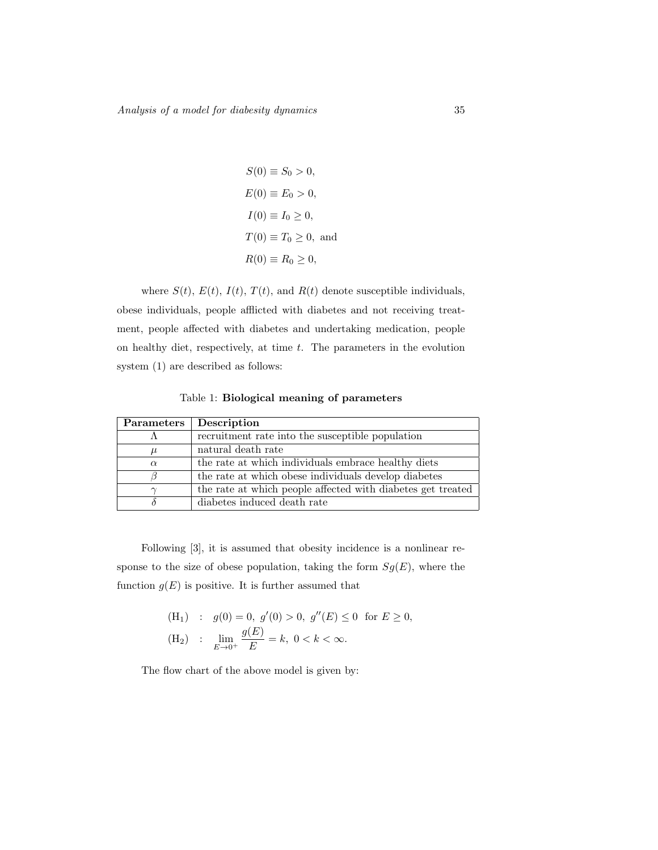$$
S(0) \equiv S_0 > 0,
$$
  
\n
$$
E(0) \equiv E_0 > 0,
$$
  
\n
$$
I(0) \equiv I_0 \ge 0,
$$
  
\n
$$
T(0) \equiv T_0 \ge 0,
$$
 and  
\n
$$
R(0) \equiv R_0 \ge 0,
$$

where  $S(t)$ ,  $E(t)$ ,  $I(t)$ ,  $T(t)$ , and  $R(t)$  denote susceptible individuals, obese individuals, people afflicted with diabetes and not receiving treatment, people affected with diabetes and undertaking medication, people on healthy diet, respectively, at time  $t$ . The parameters in the evolution system (1) are described as follows:

Table 1: Biological meaning of parameters

| Parameters | Description                                                 |
|------------|-------------------------------------------------------------|
|            | recruitment rate into the susceptible population            |
| $\mu$      | natural death rate                                          |
| $\alpha$   | the rate at which individuals embrace healthy diets         |
|            | the rate at which obese individuals develop diabetes        |
|            | the rate at which people affected with diabetes get treated |
|            | diabetes induced death rate                                 |

Following [3], it is assumed that obesity incidence is a nonlinear response to the size of obese population, taking the form  $Sg(E)$ , where the function  $g(E)$  is positive. It is further assumed that

(H<sub>1</sub>) : 
$$
g(0) = 0
$$
,  $g'(0) > 0$ ,  $g''(E) \le 0$  for  $E \ge 0$ ,  
\n(H<sub>2</sub>) :  $\lim_{E \to 0^+} \frac{g(E)}{E} = k$ ,  $0 < k < \infty$ .

The flow chart of the above model is given by: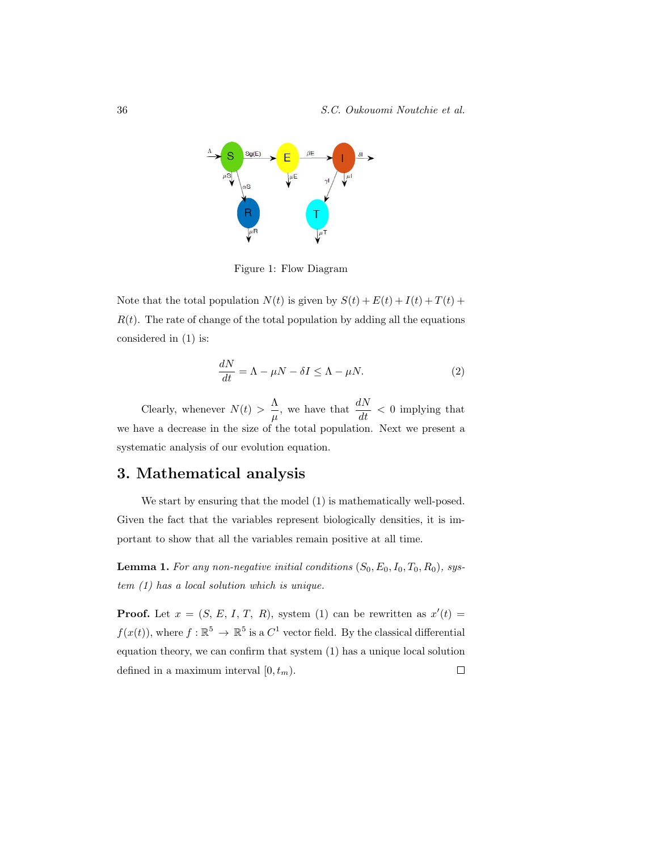

Figure 1: Flow Diagram

Note that the total population  $N(t)$  is given by  $S(t) + E(t) + I(t) + T(t) +$  $R(t)$ . The rate of change of the total population by adding all the equations considered in (1) is:

$$
\frac{dN}{dt} = \Lambda - \mu N - \delta I \le \Lambda - \mu N. \tag{2}
$$

Clearly, whenever  $N(t) > \frac{\Lambda}{t}$  $\frac{\Lambda}{\mu}$ , we have that  $\frac{dN}{dt} < 0$  implying that we have a decrease in the size of the total population. Next we present a systematic analysis of our evolution equation.

## 3. Mathematical analysis

We start by ensuring that the model (1) is mathematically well-posed. Given the fact that the variables represent biologically densities, it is important to show that all the variables remain positive at all time.

**Lemma 1.** For any non-negative initial conditions  $(S_0, E_0, I_0, T_0, R_0)$ , system (1) has a local solution which is unique.

**Proof.** Let  $x = (S, E, I, T, R)$ , system (1) can be rewritten as  $x'(t) =$  $f(x(t))$ , where  $f: \mathbb{R}^5 \to \mathbb{R}^5$  is a  $C^1$  vector field. By the classical differential equation theory, we can confirm that system (1) has a unique local solution defined in a maximum interval  $[0, t_m)$ .  $\Box$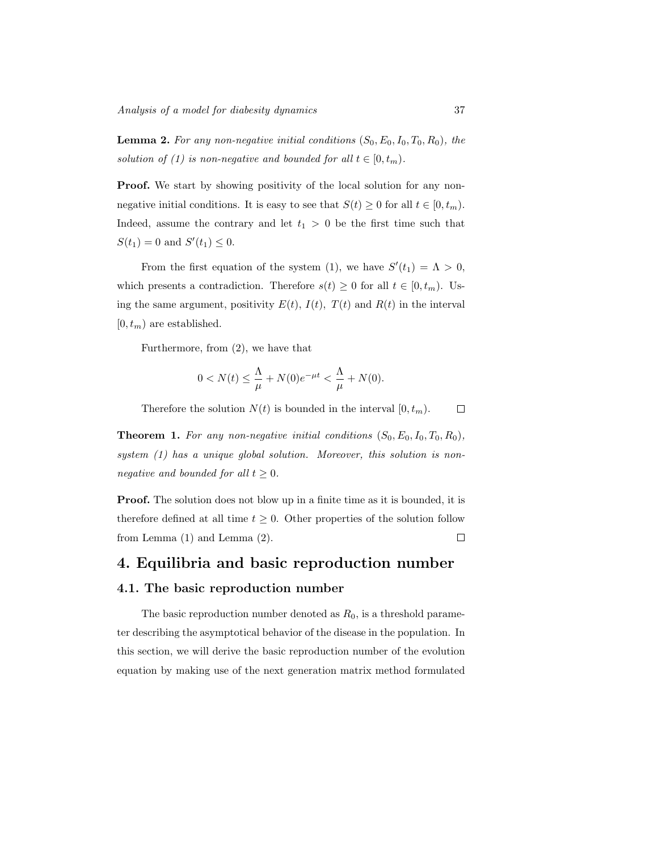**Lemma 2.** For any non-negative initial conditions  $(S_0, E_0, I_0, T_0, R_0)$ , the solution of (1) is non-negative and bounded for all  $t \in [0, t_m)$ .

**Proof.** We start by showing positivity of the local solution for any nonnegative initial conditions. It is easy to see that  $S(t) \geq 0$  for all  $t \in [0, t_m)$ . Indeed, assume the contrary and let  $t_1 > 0$  be the first time such that  $S(t_1) = 0$  and  $S'(t_1) \leq 0$ .

From the first equation of the system (1), we have  $S'(t_1) = \Lambda > 0$ , which presents a contradiction. Therefore  $s(t) \geq 0$  for all  $t \in [0, t_m)$ . Using the same argument, positivity  $E(t)$ ,  $I(t)$ ,  $T(t)$  and  $R(t)$  in the interval  $[0, t_m)$  are established.

Furthermore, from (2), we have that

$$
0 < N(t) \le \frac{\Lambda}{\mu} + N(0)e^{-\mu t} < \frac{\Lambda}{\mu} + N(0).
$$

Therefore the solution  $N(t)$  is bounded in the interval  $[0, t_m)$ .  $\Box$ 

**Theorem 1.** For any non-negative initial conditions  $(S_0, E_0, I_0, T_0, R_0)$ , system (1) has a unique global solution. Moreover, this solution is nonnegative and bounded for all  $t \geq 0$ .

**Proof.** The solution does not blow up in a finite time as it is bounded, it is therefore defined at all time  $t \geq 0$ . Other properties of the solution follow from Lemma (1) and Lemma (2).  $\Box$ 

#### 4. Equilibria and basic reproduction number

#### 4.1. The basic reproduction number

The basic reproduction number denoted as  $R_0$ , is a threshold parameter describing the asymptotical behavior of the disease in the population. In this section, we will derive the basic reproduction number of the evolution equation by making use of the next generation matrix method formulated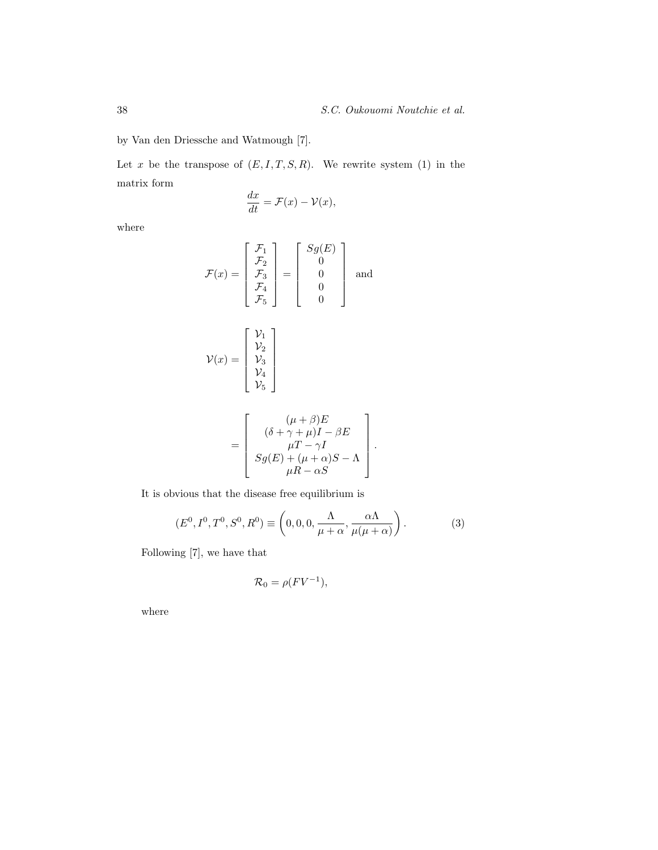by Van den Driessche and Watmough [7].

Let  $x$  be the transpose of  $(E, I, T, S, R)$ . We rewrite system (1) in the matrix form

$$
\frac{dx}{dt} = \mathcal{F}(x) - \mathcal{V}(x),
$$

where

$$
\mathcal{F}(x) = \begin{bmatrix} \mathcal{F}_1 \\ \mathcal{F}_2 \\ \mathcal{F}_3 \\ \mathcal{F}_4 \\ \mathcal{F}_5 \end{bmatrix} = \begin{bmatrix} Sg(E) \\ 0 \\ 0 \\ 0 \\ 0 \end{bmatrix} \text{ and }
$$

$$
\mathcal{V}(x) = \begin{bmatrix} \mathcal{V}_1 \\ \mathcal{V}_2 \\ \mathcal{V}_3 \\ \mathcal{V}_4 \\ \mathcal{V}_5 \end{bmatrix}
$$

$$
= \left[\begin{array}{c} (\mu + \beta)E \\ (\delta + \gamma + \mu)I - \beta E \\ \mu T - \gamma I \\ Sg(E) + (\mu + \alpha)S - \Lambda \\ \mu R - \alpha S \end{array}\right].
$$

It is obvious that the disease free equilibrium is

$$
(E0, I0, T0, S0, R0) \equiv \left(0, 0, 0, \frac{\Lambda}{\mu + \alpha}, \frac{\alpha \Lambda}{\mu(\mu + \alpha)}\right).
$$
 (3)

Following [7], we have that

$$
\mathcal{R}_0 = \rho(FV^{-1}),
$$

where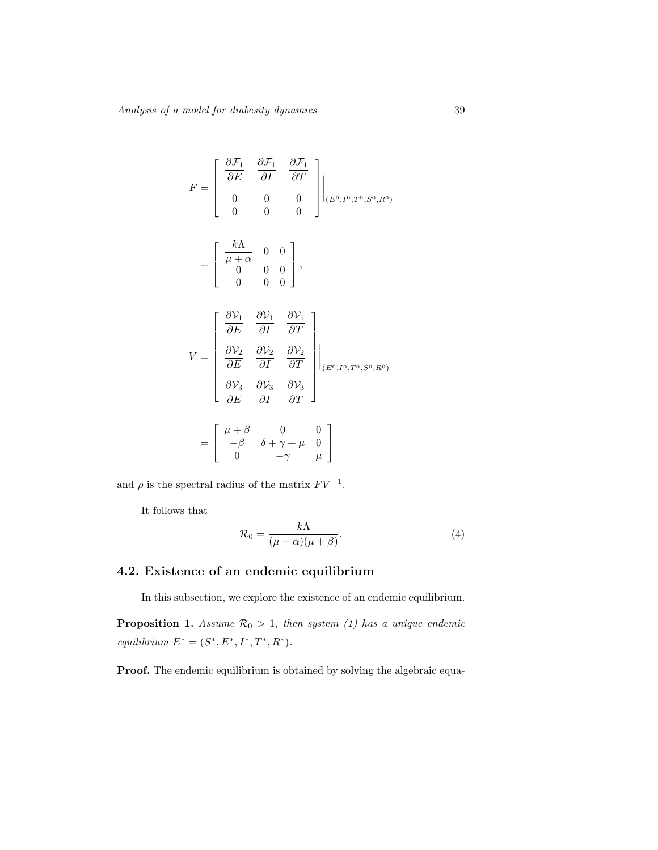$$
F = \begin{bmatrix} \frac{\partial F_1}{\partial E} & \frac{\partial F_1}{\partial I} & \frac{\partial F_1}{\partial T} \\ 0 & 0 & 0 \\ 0 & 0 & 0 \end{bmatrix} \Big|_{(E^0, I^0, T^0, S^0, R^0)}
$$
  

$$
= \begin{bmatrix} \frac{k\Lambda}{\mu + \alpha} & 0 & 0 \\ 0 & 0 & 0 & 0 \\ 0 & 0 & 0 & 0 \end{bmatrix},
$$
  

$$
V = \begin{bmatrix} \frac{\partial V_1}{\partial E} & \frac{\partial V_1}{\partial I} & \frac{\partial V_1}{\partial T} \\ \frac{\partial V_2}{\partial E} & \frac{\partial V_2}{\partial I} & \frac{\partial V_2}{\partial T} \\ \frac{\partial V_3}{\partial E} & \frac{\partial V_3}{\partial I} & \frac{\partial V_3}{\partial T} \end{bmatrix} \Big|_{(E^0, I^0, T^0, S^0, R^0)}
$$
  

$$
= \begin{bmatrix} \mu + \beta & 0 & 0 \\ -\beta & \delta + \gamma + \mu & 0 \\ 0 & -\gamma & \mu \end{bmatrix}
$$

and  $\rho$  is the spectral radius of the matrix  $F V^{-1}$ .

It follows that

$$
\mathcal{R}_0 = \frac{k\Lambda}{(\mu + \alpha)(\mu + \beta)}.\tag{4}
$$

## 4.2. Existence of an endemic equilibrium

In this subsection, we explore the existence of an endemic equilibrium.

**Proposition 1.** Assume  $\mathcal{R}_0 > 1$ , then system (1) has a unique endemic equilibrium  $E^* = (S^*, E^*, I^*, T^*, R^*).$ 

Proof. The endemic equilibrium is obtained by solving the algebraic equa-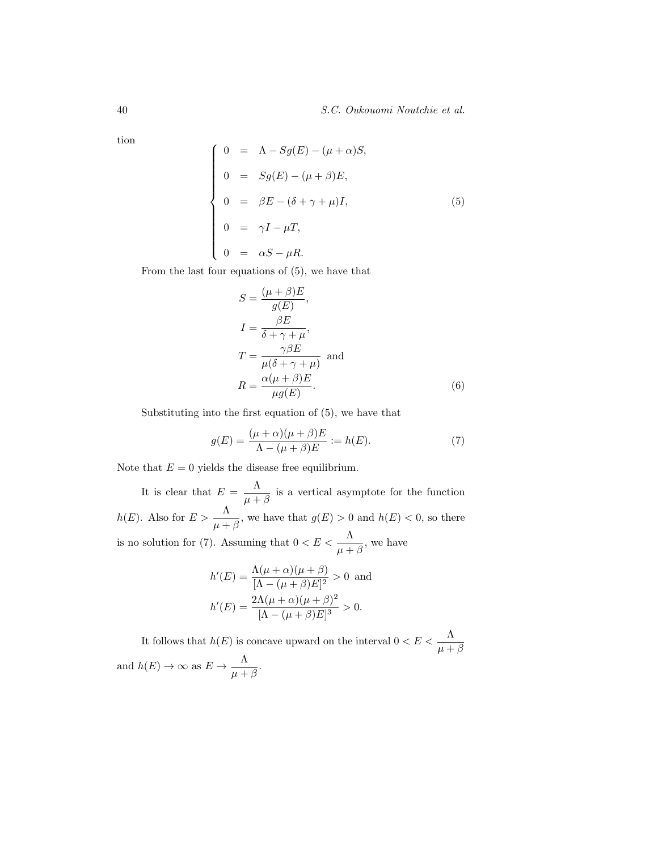tion

$$
\begin{cases}\n0 = \Lambda - Sg(E) - (\mu + \alpha)S, \\
0 = Sg(E) - (\mu + \beta)E, \\
0 = \beta E - (\delta + \gamma + \mu)I, \\
0 = \gamma I - \mu T, \\
0 = \alpha S - \mu R.\n\end{cases}
$$
\n(5)

From the last four equations of (5), we have that

$$
S = \frac{(\mu + \beta)E}{g(E)},
$$
  
\n
$$
I = \frac{\beta E}{\delta + \gamma + \mu},
$$
  
\n
$$
T = \frac{\gamma \beta E}{\mu(\delta + \gamma + \mu)} \text{ and}
$$
  
\n
$$
R = \frac{\alpha(\mu + \beta)E}{\mu g(E)}.
$$
 (6)

Substituting into the first equation of (5), we have that

$$
g(E) = \frac{(\mu + \alpha)(\mu + \beta)E}{\Lambda - (\mu + \beta)E} := h(E). \tag{7}
$$

Note that  $E = 0$  yields the disease free equilibrium.

It is clear that  $E = \frac{\Lambda}{\Lambda}$  $\frac{1}{\mu + \beta}$  is a vertical asymptote for the function  $h(E)$ . Also for  $E > \frac{\Lambda}{\mu + \beta}$ , we have that  $g(E) > 0$  and  $h(E) < 0$ , so there is no solution for (7). Assuming that  $0 < E < \frac{\Lambda}{\mu + \beta}$ , we have

$$
h'(E) = \frac{\Lambda(\mu + \alpha)(\mu + \beta)}{[\Lambda - (\mu + \beta)E]^2} > 0
$$
 and  

$$
h'(E) = \frac{2\Lambda(\mu + \alpha)(\mu + \beta)^2}{[\Lambda - (\mu + \beta)E]^3} > 0.
$$

It follows that  $h(E)$  is concave upward on the interval  $0 < E < \frac{\Lambda}{\mu + \beta}$ and  $h(E) \to \infty$  as  $E \to -\frac{\Lambda}{\Lambda}$  $\frac{1}{\mu + \beta}$ .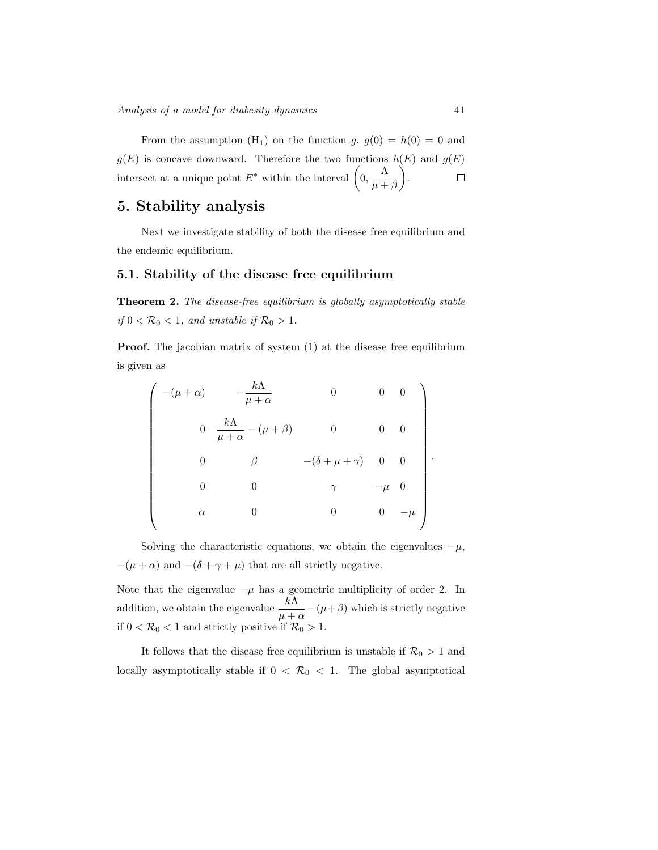From the assumption  $(H_1)$  on the function g,  $g(0) = h(0) = 0$  and  $g(E)$  is concave downward. Therefore the two functions  $h(E)$  and  $g(E)$ intersect at a unique point  $E^*$  within the interval  $\left(0, -\frac{\Lambda}{\sigma}\right)$  .  $\Box$  $\mu + \beta$ 

# 5. Stability analysis

Next we investigate stability of both the disease free equilibrium and the endemic equilibrium.

#### 5.1. Stability of the disease free equilibrium

Theorem 2. The disease-free equilibrium is globally asymptotically stable if  $0 < \mathcal{R}_0 < 1$ , and unstable if  $\mathcal{R}_0 > 1$ .

**Proof.** The jacobian matrix of system  $(1)$  at the disease free equilibrium is given as

$$
\begin{pmatrix}\n-(\mu+\alpha) & -\frac{k\Lambda}{\mu+\alpha} & 0 & 0 & 0 \\
0 & \frac{k\Lambda}{\mu+\alpha} - (\mu+\beta) & 0 & 0 & 0 \\
0 & \beta & -(\delta+\mu+\gamma) & 0 & 0 \\
0 & 0 & \gamma & -\mu & 0 \\
\alpha & 0 & 0 & 0 & -\mu\n\end{pmatrix}.
$$

Solving the characteristic equations, we obtain the eigenvalues  $-\mu$ ,  $-(\mu + \alpha)$  and  $-(\delta + \gamma + \mu)$  that are all strictly negative.

Note that the eigenvalue  $-\mu$  has a geometric multiplicity of order 2. In addition, we obtain the eigenvalue  $\frac{k\Lambda}{\mu+\alpha} - (\mu+\beta)$  which is strictly negative if  $0 < \mathcal{R}_0 < 1$  and strictly positive if  $\mathcal{R}_0 > 1$ .

It follows that the disease free equilibrium is unstable if  $\mathcal{R}_0 > 1$  and locally asymptotically stable if  $0 < \mathcal{R}_0 < 1$ . The global asymptotical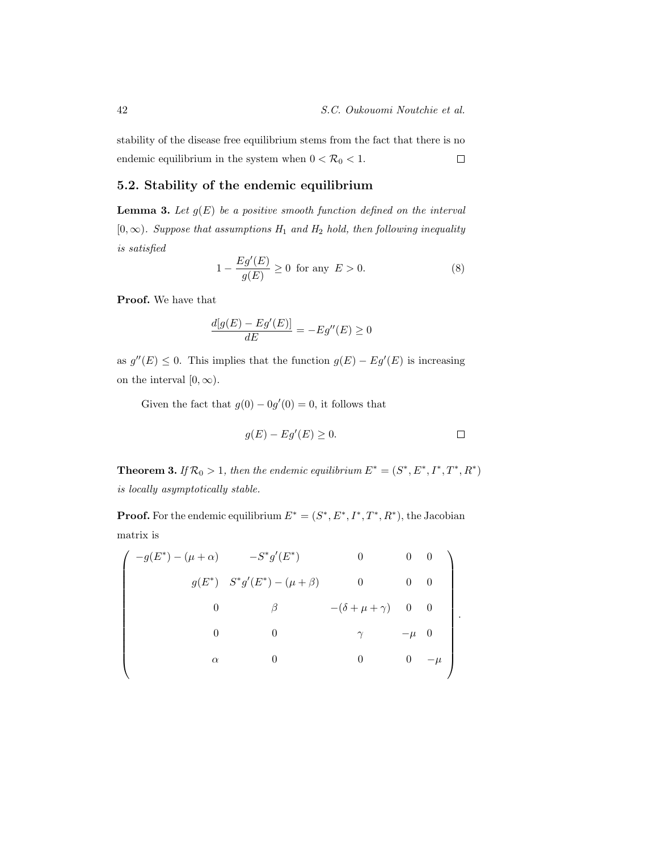stability of the disease free equilibrium stems from the fact that there is no endemic equilibrium in the system when  $0<{\cal R}_0<1.$  $\Box$ 

#### 5.2. Stability of the endemic equilibrium

**Lemma 3.** Let  $g(E)$  be a positive smooth function defined on the interval  $[0, \infty)$ . Suppose that assumptions  $H_1$  and  $H_2$  hold, then following inequality is satisfied

$$
1 - \frac{Eg'(E)}{g(E)} \ge 0 \quad \text{for any} \quad E > 0. \tag{8}
$$

Proof. We have that

$$
\frac{d[g(E) - Eg'(E)]}{dE} = -Eg''(E) \ge 0
$$

as  $g''(E) \leq 0$ . This implies that the function  $g(E) - Eg'(E)$  is increasing on the interval  $[0, \infty)$ .

Given the fact that  $g(0) - 0g'(0) = 0$ , it follows that

$$
g(E) - Eg'(E) \ge 0. \qquad \qquad \Box
$$

**Theorem 3.** If  $\mathcal{R}_0 > 1$ , then the endemic equilibrium  $E^* = (S^*, E^*, I^*, T^*, R^*)$ is locally asymptotically stable.

**Proof.** For the endemic equilibrium  $E^* = (S^*, E^*, I^*, T^*, R^*)$ , the Jacobian matrix is

$$
\begin{pmatrix}\n-g(E^*) - (\mu + \alpha) & -S^*g'(E^*) & 0 & 0 & 0 \\
g(E^*) & S^*g'(E^*) - (\mu + \beta) & 0 & 0 & 0 \\
0 & \beta & -(\delta + \mu + \gamma) & 0 & 0 \\
0 & 0 & \gamma & -\mu & 0 \\
\alpha & 0 & 0 & 0 & -\mu\n\end{pmatrix}.
$$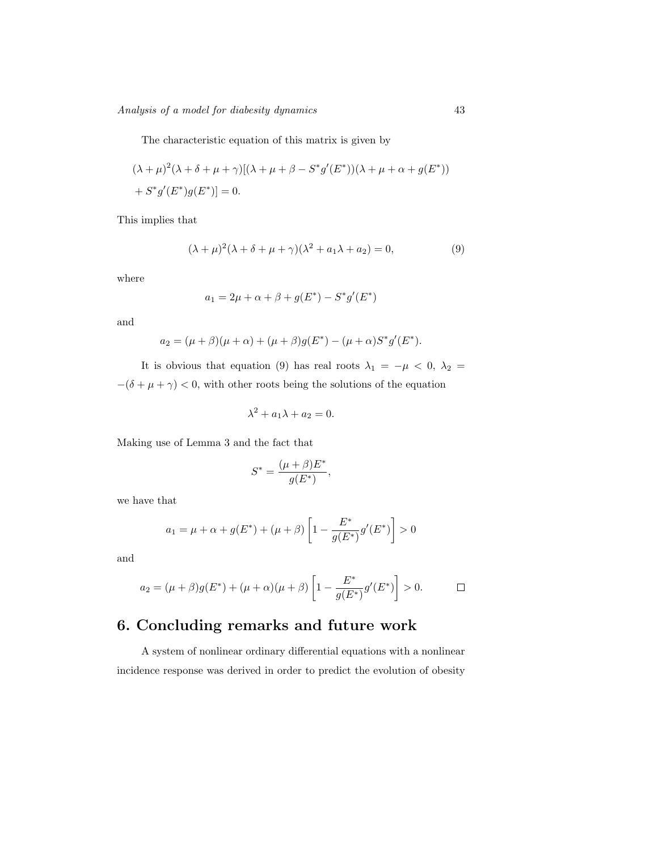The characteristic equation of this matrix is given by

$$
(\lambda + \mu)^2 (\lambda + \delta + \mu + \gamma)[(\lambda + \mu + \beta - S^* g'(E^*)) (\lambda + \mu + \alpha + g(E^*))
$$
  
+ 
$$
S^* g'(E^*) g(E^*)] = 0.
$$

This implies that

$$
(\lambda + \mu)^2 (\lambda + \delta + \mu + \gamma)(\lambda^2 + a_1 \lambda + a_2) = 0,
$$
\n(9)

where

$$
a_1 = 2\mu + \alpha + \beta + g(E^*) - S^*g'(E^*)
$$

and

$$
a_2 = (\mu + \beta)(\mu + \alpha) + (\mu + \beta)g(E^*) - (\mu + \alpha)S^*g'(E^*).
$$

It is obvious that equation (9) has real roots  $\lambda_1 = -\mu < 0, \lambda_2 =$  $-(\delta+\mu+\gamma)<0,$  with other roots being the solutions of the equation

$$
\lambda^2 + a_1 \lambda + a_2 = 0.
$$

Making use of Lemma 3 and the fact that

$$
S^* = \frac{(\mu + \beta)E^*}{g(E^*)},
$$

we have that

$$
a_1 = \mu + \alpha + g(E^*) + (\mu + \beta) \left[ 1 - \frac{E^*}{g(E^*)} g'(E^*) \right] > 0
$$

and

$$
a_2 = (\mu + \beta)g(E^*) + (\mu + \alpha)(\mu + \beta)\left[1 - \frac{E^*}{g(E^*)}g'(E^*)\right] > 0.
$$

# 6. Concluding remarks and future work

A system of nonlinear ordinary differential equations with a nonlinear incidence response was derived in order to predict the evolution of obesity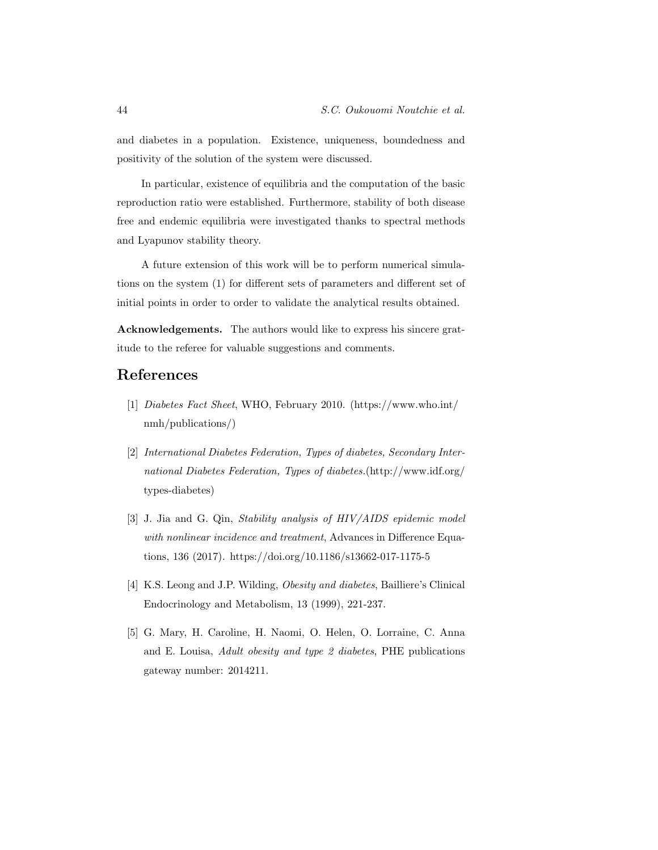and diabetes in a population. Existence, uniqueness, boundedness and positivity of the solution of the system were discussed.

In particular, existence of equilibria and the computation of the basic reproduction ratio were established. Furthermore, stability of both disease free and endemic equilibria were investigated thanks to spectral methods and Lyapunov stability theory.

A future extension of this work will be to perform numerical simulations on the system (1) for different sets of parameters and different set of initial points in order to order to validate the analytical results obtained.

Acknowledgements. The authors would like to express his sincere gratitude to the referee for valuable suggestions and comments.

## References

- [1] Diabetes Fact Sheet, WHO, February 2010. (https://www.who.int/ nmh/publications/)
- [2] International Diabetes Federation, Types of diabetes, Secondary International Diabetes Federation, Types of diabetes.(http://www.idf.org/ types-diabetes)
- [3] J. Jia and G. Qin, Stability analysis of HIV/AIDS epidemic model with nonlinear incidence and treatment, Advances in Difference Equations, 136 (2017). https://doi.org/10.1186/s13662-017-1175-5
- [4] K.S. Leong and J.P. Wilding, *Obesity and diabetes*, Bailliere's Clinical Endocrinology and Metabolism, 13 (1999), 221-237.
- [5] G. Mary, H. Caroline, H. Naomi, O. Helen, O. Lorraine, C. Anna and E. Louisa, Adult obesity and type 2 diabetes, PHE publications gateway number: 2014211.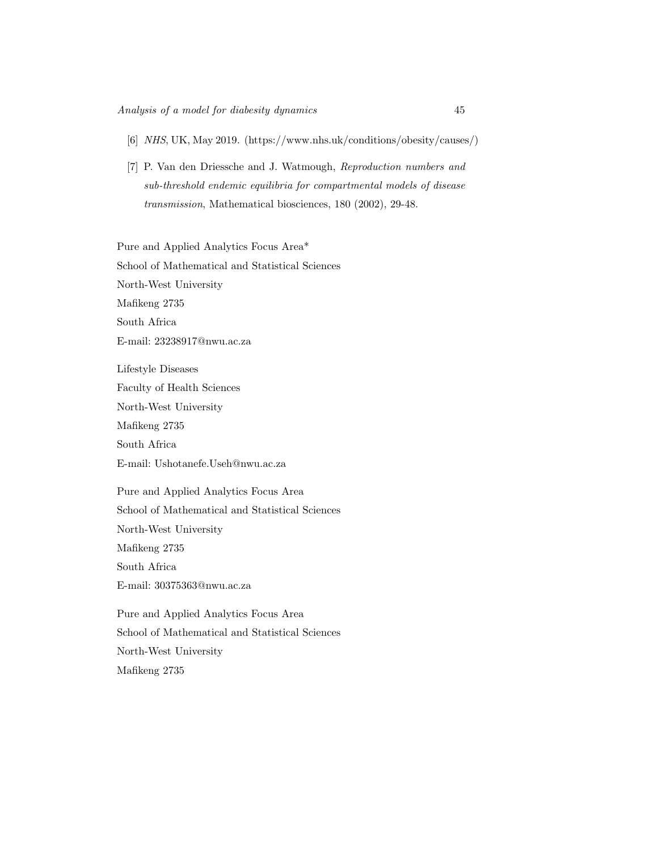- [6] NHS, UK, May 2019. (https://www.nhs.uk/conditions/obesity/causes/)
- [7] P. Van den Driessche and J. Watmough, Reproduction numbers and sub-threshold endemic equilibria for compartmental models of disease transmission, Mathematical biosciences, 180 (2002), 29-48.

Pure and Applied Analytics Focus Area\* School of Mathematical and Statistical Sciences North-West University Mafikeng 2735 South Africa E-mail: 23238917@nwu.ac.za

Lifestyle Diseases Faculty of Health Sciences

North-West University

Mafikeng 2735

South Africa

E-mail: Ushotanefe.Useh@nwu.ac.za

Pure and Applied Analytics Focus Area School of Mathematical and Statistical Sciences North-West University Mafikeng 2735 South Africa E-mail: 30375363@nwu.ac.za

Pure and Applied Analytics Focus Area School of Mathematical and Statistical Sciences North-West University Mafikeng 2735